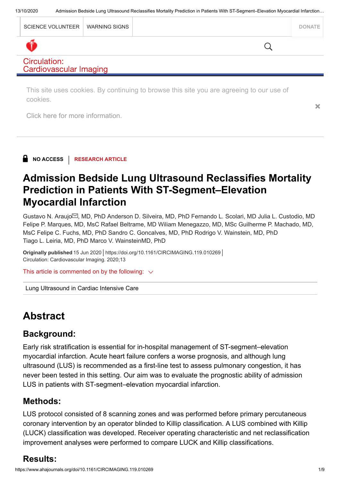| SCIENCE VOLUNTEER   WARNING SIGNS |  | <b>DONATE</b> |
|-----------------------------------|--|---------------|

### Circulation: **Cardiovascular Imaging**

This site uses cookies. By continuing to browse this site you are agreeing to our use of cookies.

[Click here for more information.](https://journals.lww.com/_layouts/15/oaks.journals/privacy.aspx)

NO ACCESS | RESEARCH ARTICLE

# [Admission Bedside Lung Ultrasound Reclassifies Mortality](https://www.ahajournals.org/doi/full/10.1161/CIRCIMAGING.119.010269) Prediction in Patients With ST-Segment–Elevation Myocardial Infarction

Gustavo N. Araujo $\boxdot$ , MD, PhD Anderson D. Silveira, MD, PhD Fernando L. Scolari, MD Julia L. Custodio, MD Felipe P. Marques, MD, MsC Rafael Beltrame, MD Wiliam Menegazzo, MD, MSc Guilherme P. Machado, MD, MsC Felipe C. Fuchs, MD, PhD Sandro C. Goncalves, MD, PhD Rodrigo V. Wainstein, MD, PhD Tiago L. Leiria, MD, PhD Marco V. WainsteinMD, PhD

Circulation: Cardiovascular Imaging. 2020;13

This article is commented on by the following:  $\vee$ 

[Lung Ultrasound in Cardiac Intensive Care](https://www.ahajournals.org/doi/10.1161/CIRCIMAGING.120.010909)

# **Abstract**

# Background:

Early risk stratification is essential for in-hospital management of ST-segment–elevation myocardial infarction. Acute heart failure confers a worse prognosis, and although lung ultrasound (LUS) is recommended as a first-line test to assess pulmonary congestion, it has never been tested in this setting. Our aim was to evaluate the prognostic ability of admission LUS in patients with ST-segment–elevation myocardial infarction. Originally published 15 Jun 2020 | <https://doi.org/10.1161/CIRCIMAGING.119.010269><br>Circulation: Cardiovascular Imaging. 2020;13<br>This article is commented on by the following:  $\sim$ <br>Lung Ultrasound in Cardiac Intensive Care<br>

# Methods:

LUS protocol consisted of 8 scanning zones and was performed before primary percutaneous coronary intervention by an operator blinded to Killip classification. A LUS combined with Killip (LUCK) classification was developed. Receiver operating characteristic and net reclassification improvement analyses were performed to compare LUCK and Killip classifications.

×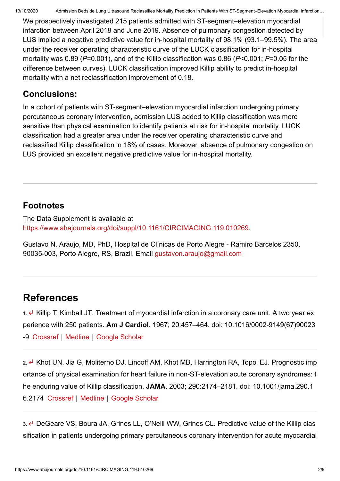We prospectively investigated 215 patients admitted with ST-segment–elevation myocardial infarction between April 2018 and June 2019. Absence of pulmonary congestion detected by LUS implied a negative predictive value for in-hospital mortality of 98.1% (93.1–99.5%). The area under the receiver operating characteristic curve of the LUCK classification for in-hospital mortality was 0.89 ( $P=0.001$ ), and of the Killip classification was 0.86 ( $P<0.001$ ;  $P=0.05$  for the difference between curves). LUCK classification improved Killip ability to predict in-hospital mortality with a net reclassification improvement of 0.18.

## Conclusions:

In a cohort of patients with ST-segment–elevation myocardial infarction undergoing primary percutaneous coronary intervention, admission LUS added to Killip classification was more sensitive than physical examination to identify patients at risk for in-hospital mortality. LUCK classification had a greater area under the receiver operating characteristic curve and reclassified Killip classification in 18% of cases. Moreover, absence of pulmonary congestion on LUS provided an excellent negative predictive value for in-hospital mortality.

# **Footnotes**

The Data Supplement is available at [https://www.ahajournals.org/doi/suppl/10.1161/CIRCIMAGING.119.010269.](https://www.ahajournals.org/doi/suppl/10.1161/CIRCIMAGING.119.010269)

Gustavo N. Araujo, MD, PhD, Hospital de Clínicas de Porto Alegre - Ramiro Barcelos 2350, 90035-003, Porto Alegre, RS, Brazil. Email [gustavon.araujo@gmail.com](mailto:mailto:gustavon.araujo@gmail.com)

# References

1.  $\leftarrow$  Killip T, Kimball JT. Treatment of myocardial infarction in a coronary care unit. A two year ex perience with 250 patients. Am J Cardiol. 1967; 20:457–464. doi: 10.1016/0002-9149(67)90023 -9 [Crossref](https://www.ahajournals.org/servlet/linkout?suffix=e_1_3_4_2_2&dbid=16&doi=10.1161%2FCIRCIMAGING.119.010269&key=10.1016%2F0002-9149%2867%2990023-9) | [Medline](https://www.ahajournals.org/servlet/linkout?suffix=e_1_3_4_2_2&dbid=8&doi=10.1161%2FCIRCIMAGING.119.010269&key=6059183) | [Google Scholar](http://scholar.google.com/scholar_lookup?hl=en&volume=20&publication_year=1967&pages=457-464&journal=Am+J+Cardiol&author=T+Killip&author=JT+Kimball&title=Treatment+of+myocardial+infarction+in+a+coronary+care+unit.+A+two+year+experience+with+250+patients.)

2. e Khot UN, Jia G, Moliterno DJ, Lincoff AM, Khot MB, Harrington RA, Topol EJ. Prognostic imp ortance of physical examination for heart failure in non-ST-elevation acute coronary syndromes: t he enduring value of Killip classification. JAMA. 2003; 290:2174–2181. doi: 10.1001/jama.290.1 6.2174 [Crossref](https://www.ahajournals.org/servlet/linkout?suffix=e_1_3_4_3_2&dbid=16&doi=10.1161%2FCIRCIMAGING.119.010269&key=10.1001%2Fjama.290.16.2174) | [Medline](https://www.ahajournals.org/servlet/linkout?suffix=e_1_3_4_3_2&dbid=8&doi=10.1161%2FCIRCIMAGING.119.010269&key=14570953) | [Google Scholar](http://scholar.google.com/scholar_lookup?hl=en&volume=290&publication_year=2003&pages=2174-2181&journal=JAMA&author=UN+Khot&author=G+Jia&author=DJ+Moliterno&author=AM+Lincoff&author=MB+Khot&author=RA+Harrington&author=EJ+Topol&title=Prognostic+importance+of+physical+examination+for+heart+failure+in+non-ST-elevation+acute+coronary+syndromes%3A+the+enduring+value+of+Killip+classification.)

3. « DeGeare VS, Boura JA, Grines LL, O'Neill WW, Grines CL. Predictive value of the Killip clas sification in patients undergoing primary percutaneous coronary intervention for acute myocardial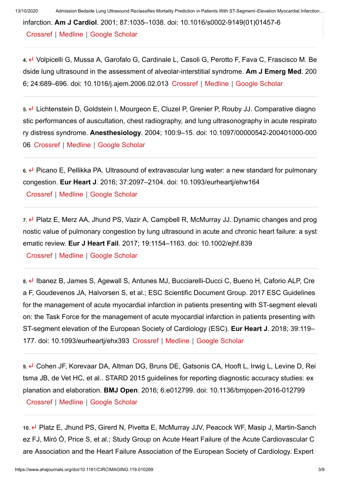13/10/2020 Admission Bedside Lung Ultrasound Reclassifies Mortality Prediction in Patients With ST-Segment–Elevation Myocardial Infarction…

infarction. Am J Cardiol. 2001; 87:1035–1038. doi: 10.1016/s0002-9149(01)01457-6

[Crossref](https://www.ahajournals.org/servlet/linkout?suffix=e_1_3_4_4_2&dbid=16&doi=10.1161%2FCIRCIMAGING.119.010269&key=10.1016%2FS0002-9149%2801%2901457-6) | [Medline](https://www.ahajournals.org/servlet/linkout?suffix=e_1_3_4_4_2&dbid=8&doi=10.1161%2FCIRCIMAGING.119.010269&key=11348598) | [Google Scholar](http://scholar.google.com/scholar_lookup?hl=en&volume=87&publication_year=2001&pages=1035-1038&journal=Am+J+Cardiol&author=VS+DeGeare&author=JA+Boura&author=LL+Grines&author=WW+O%E2%80%99Neill&author=CL+Grines&title=Predictive+value+of+the+Killip+classification+in+patients+undergoing+primary+percutaneous+coronary+intervention+for+acute+myocardial+infarction.)

4. Volpicelli G, Mussa A, Garofalo G, Cardinale L, Casoli G, Perotto F, Fava C, Frascisco M. Be dside lung ultrasound in the assessment of alveolar-interstitial syndrome. Am J Emerg Med. 200 6; 24:689–696. doi: 10.1016/j.ajem.2006.02.013 [Crossref](https://www.ahajournals.org/servlet/linkout?suffix=e_1_3_4_5_2&dbid=16&doi=10.1161%2FCIRCIMAGING.119.010269&key=10.1016%2Fj.ajem.2006.02.013) | [Medline](https://www.ahajournals.org/servlet/linkout?suffix=e_1_3_4_5_2&dbid=8&doi=10.1161%2FCIRCIMAGING.119.010269&key=16984837) | [Google Scholar](http://scholar.google.com/scholar_lookup?hl=en&volume=24&publication_year=2006&pages=689-696&journal=Am+J+Emerg+Med&author=G+Volpicelli&author=A+Mussa&author=G+Garofalo&author=L+Cardinale&author=G+Casoli&author=F+Perotto&author=C+Fava&author=M+Frascisco&title=Bedside+lung+ultrasound+in+the+assessment+of+alveolar-interstitial+syndrome.)

5. Lichtenstein D, Goldstein I, Mourgeon E, Cluzel P, Grenier P, Rouby JJ. Comparative diagno stic performances of auscultation, chest radiography, and lung ultrasonography in acute respirato ry distress syndrome. Anesthesiology. 2004; 100:9–15. doi: 10.1097/00000542-200401000-000 06 [Crossref](https://www.ahajournals.org/servlet/linkout?suffix=e_1_3_4_6_2&dbid=16&doi=10.1161%2FCIRCIMAGING.119.010269&key=10.1097%2F00000542-200401000-00006) | [Medline](https://www.ahajournals.org/servlet/linkout?suffix=e_1_3_4_6_2&dbid=8&doi=10.1161%2FCIRCIMAGING.119.010269&key=14695718) | [Google Scholar](http://scholar.google.com/scholar_lookup?hl=en&volume=100&publication_year=2004&pages=9-15&journal=Anesthesiology&author=D+Lichtenstein&author=I+Goldstein&author=E+Mourgeon&author=P+Cluzel&author=P+Grenier&author=JJ+Rouby&title=Comparative+diagnostic+performances+of+auscultation%2C+chest+radiography%2C+and+lung+ultrasonography+in+acute+respiratory+distress+syndrome.)

 $6.$  Picano E, Pellikka PA. Ultrasound of extravascular lung water: a new standard for pulmonary congestion. Eur Heart J. 2016; 37:2097–2104. doi: 10.1093/eurheartj/ehw164

[Crossref](https://www.ahajournals.org/servlet/linkout?suffix=e_1_3_4_7_2&dbid=16&doi=10.1161%2FCIRCIMAGING.119.010269&key=10.1093%2Feurheartj%2Fehw164) | [Medline](https://www.ahajournals.org/servlet/linkout?suffix=e_1_3_4_7_2&dbid=8&doi=10.1161%2FCIRCIMAGING.119.010269&key=27174289) | [Google Scholar](http://scholar.google.com/scholar_lookup?hl=en&volume=37&publication_year=2016&pages=2097-2104&journal=Eur+Heart+J&author=E+Picano&author=PA+Pellikka&title=Ultrasound+of+extravascular+lung+water%3A+a+new+standard+for+pulmonary+congestion.)

 $7.$  Platz E, Merz AA, Jhund PS, Vazir A, Campbell R, McMurray JJ. Dynamic changes and prog nostic value of pulmonary congestion by lung ultrasound in acute and chronic heart failure: a syst ematic review. Eur J Heart Fail. 2017; 19:1154–1163. doi: 10.1002/ejhf.839

[Crossref](https://www.ahajournals.org/servlet/linkout?suffix=e_1_3_4_8_2&dbid=16&doi=10.1161%2FCIRCIMAGING.119.010269&key=10.1002%2Fejhf.839) | [Medline](https://www.ahajournals.org/servlet/linkout?suffix=e_1_3_4_8_2&dbid=8&doi=10.1161%2FCIRCIMAGING.119.010269&key=28557302) | [Google Scholar](http://scholar.google.com/scholar_lookup?hl=en&volume=19&publication_year=2017&pages=1154-1163&journal=Eur+J+Heart+Fail&author=E+Platz&author=AA+Merz&author=PS+Jhund&author=A+Vazir&author=R+Campbell&author=JJ+McMurray&title=Dynamic+changes+and+prognostic+value+of+pulmonary+congestion+by+lung+ultrasound+in+acute+and+chronic+heart+failure%3A+a+systematic+review.)

8. *Ibanez B, James S, Agewall S, Antunes MJ, Bucciarelli-Ducci C, Bueno H, Caforio ALP, Cre* a F, Goudevenos JA, Halvorsen S, et al.; ESC Scientific Document Group. 2017 ESC Guidelines for the management of acute myocardial infarction in patients presenting with ST-segment elevati on: the Task Force for the management of acute myocardial infarction in patients presenting with ST-segment elevation of the European Society of Cardiology (ESC). Eur Heart J. 2018; 39:119– 177. doi: 10.1093/eurheartj/ehx393 [Crossref](https://www.ahajournals.org/servlet/linkout?suffix=e_1_3_4_9_2&dbid=16&doi=10.1161%2FCIRCIMAGING.119.010269&key=10.1093%2Feurheartj%2Fehx393) | [Medline](https://www.ahajournals.org/servlet/linkout?suffix=e_1_3_4_9_2&dbid=8&doi=10.1161%2FCIRCIMAGING.119.010269&key=28886621) | [Google Scholar](http://scholar.google.com/scholar_lookup?hl=en&volume=39&publication_year=2018&pages=119-177&journal=Eur+Heart+J&author=B+Ibanez&author=S+James&author=S+Agewall&author=MJ+Antunes&author=C+Bucciarelli-Ducci&author=H+Bueno&author=ALP+Caforio&author=F+Crea&author=JA+Goudevenos&author=S+Halvorsen&title=2017+ESC+Guidelines+for+the+management+of+acute+myocardial+infarction+in+patients+presenting+with+ST-segment+elevation%3A+the+Task+Force+for+the+management+of+acute+myocardial+infarction+in+patients+presenting+with+ST-segment+elevation+of+the+European+Society+of+Cardiology+%28ESC%29.)

9. ← Cohen JF, Korevaar DA, Altman DG, Bruns DE, Gatsonis CA, Hooft L, Irwig L, Levine D, Rei tsma JB, de Vet HC, et al.. STARD 2015 guidelines for reporting diagnostic accuracy studies: ex planation and elaboration. BMJ Open. 2016; 6:e012799. doi: 10.1136/bmjopen-2016-012799 [Crossref](https://www.ahajournals.org/servlet/linkout?suffix=e_1_3_4_10_2&dbid=16&doi=10.1161%2FCIRCIMAGING.119.010269&key=10.1136%2Fbmjopen-2016-012799) | [Medline](https://www.ahajournals.org/servlet/linkout?suffix=e_1_3_4_10_2&dbid=8&doi=10.1161%2FCIRCIMAGING.119.010269&key=28137831) | [Google Scholar](http://scholar.google.com/scholar_lookup?hl=en&volume=6&publication_year=2016&pages=e012799&journal=BMJ+Open&author=JF+Cohen&author=DA+Korevaar&author=DG+Altman&author=DE+Bruns&author=CA+Gatsonis&author=L+Hooft&author=L+Irwig&author=D+Levine&author=JB+Reitsma&author=HC+de+Vet&title=STARD+2015+guidelines+for+reporting+diagnostic+accuracy+studies%3A+explanation+and+elaboration.)

10. e Platz E, Jhund PS, Girerd N, Pivetta E, McMurray JJV, Peacock WF, Masip J, Martin-Sanch ez FJ, Miró Ò, Price S, et al.; Study Group on Acute Heart Failure of the Acute Cardiovascular C are Association and the Heart Failure Association of the European Society of Cardiology. Expert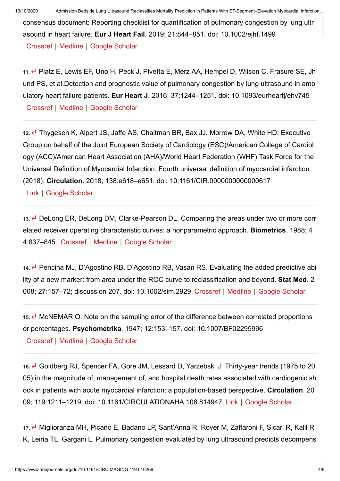consensus document: Reporting checklist for quantification of pulmonary congestion by lung ultr asound in heart failure. Eur J Heart Fail. 2019; 21:844–851. doi: 10.1002/ejhf.1499 [Crossref](https://www.ahajournals.org/servlet/linkout?suffix=e_1_3_4_11_2&dbid=16&doi=10.1161%2FCIRCIMAGING.119.010269&key=10.1002%2Fejhf.1499) | [Medline](https://www.ahajournals.org/servlet/linkout?suffix=e_1_3_4_11_2&dbid=8&doi=10.1161%2FCIRCIMAGING.119.010269&key=31218825) | [Google Scholar](http://scholar.google.com/scholar_lookup?hl=en&volume=21&publication_year=2019&pages=844-851&journal=Eur+J+Heart+Fail&author=E+Platz&author=PS+Jhund&author=N+Girerd&author=E+Pivetta&author=JJV+McMurray&author=WF+Peacock&author=J+Masip&author=FJ+Martin-Sanchez&author=%C3%92+Mir%C3%B3&author=S+Price&title=Expert+consensus+document%3A+Reporting+checklist+for+quantification+of+pulmonary+congestion+by+lung+ultrasound+in+heart+failure.)

11. Platz E, Lewis EF, Uno H, Peck J, Pivetta E, Merz AA, Hempel D, Wilson C, Frasure SE, Jh und PS, et al.Detection and prognostic value of pulmonary congestion by lung ultrasound in amb ulatory heart failure patients. Eur Heart J. 2016; 37:1244-1251. doi: 10.1093/eurhearti/ehv745 [Crossref](https://www.ahajournals.org/servlet/linkout?suffix=e_1_3_4_12_2&dbid=16&doi=10.1161%2FCIRCIMAGING.119.010269&key=10.1093%2Feurheartj%2Fehv745) | [Medline](https://www.ahajournals.org/servlet/linkout?suffix=e_1_3_4_12_2&dbid=8&doi=10.1161%2FCIRCIMAGING.119.010269&key=26819225) | [Google Scholar](http://scholar.google.com/scholar_lookup?hl=en&volume=37&publication_year=2016&pages=1244-1251&journal=Eur+Heart+J&author=E+Platz&author=EF+Lewis&author=H+Uno&author=J+Peck&author=E+Pivetta&author=AA+Merz&author=D+Hempel&author=C+Wilson&author=SE+Frasure&author=PS+Jhund&title=Detection+and+prognostic+value+of+pulmonary+congestion+by+lung+ultrasound+in+ambulatory+heart+failure+patients.)

12.  $\leftarrow$  Thygesen K, Alpert JS, Jaffe AS, Chaitman BR, Bax JJ, Morrow DA, White HD; Executive Group on behalf of the Joint European Society of Cardiology (ESC)/American College of Cardiol ogy (ACC)/American Heart Association (AHA)/World Heart Federation (WHF) Task Force for the Universal Definition of Myocardial Infarction. Fourth universal definition of myocardial infarction (2018). Circulation. 2018; 138:e618–e651. doi: 10.1161/CIR.0000000000000617

[Link](https://www.ahajournals.org/doi/10.1161/CIR.0000000000000617) | [Google Scholar](http://scholar.google.com/scholar_lookup?hl=en&volume=138&publication_year=2018&pages=e618-e651&journal=Circulation&author=K+Thygesen&author=JS+Alpert&author=AS+Jaffe&author=BR+Chaitman&author=JJ+Bax&author=DA+Morrow&author=HD+White&title=Fourth+universal+definition+of+myocardial+infarction+%282018%29.)

13. U DeLong ER, DeLong DM, Clarke-Pearson DL. Comparing the areas under two or more corr elated receiver operating characteristic curves: a nonparametric approach. Biometrics. 1988; 4 4:837–845. [Crossref](https://www.ahajournals.org/servlet/linkout?suffix=e_1_3_4_14_2&dbid=16&doi=10.1161%2FCIRCIMAGING.119.010269&key=10.2307%2F2531595) | [Medline](https://www.ahajournals.org/servlet/linkout?suffix=e_1_3_4_14_2&dbid=8&doi=10.1161%2FCIRCIMAGING.119.010269&key=3203132) | [Google Scholar](http://scholar.google.com/scholar_lookup?hl=en&volume=44&publication_year=1988&pages=837-845&journal=Biometrics&author=ER+DeLong&author=DM+DeLong&author=DL+Clarke-Pearson&title=Comparing+the+areas+under+two+or+more+correlated+receiver+operating+characteristic+curves%3A+a+nonparametric+approach.)

14. Pencina MJ, D'Agostino RB, D'Agostino RB, Vasan RS. Evaluating the added predictive abi lity of a new marker: from area under the ROC curve to reclassification and beyond. Stat Med. 2 008; 27:157–72; discussion 207. doi: 10.1002/sim.2929 [Crossref](https://www.ahajournals.org/servlet/linkout?suffix=e_1_3_4_15_2&dbid=16&doi=10.1161%2FCIRCIMAGING.119.010269&key=10.1002%2Fsim.2929) | [Medline](https://www.ahajournals.org/servlet/linkout?suffix=e_1_3_4_15_2&dbid=8&doi=10.1161%2FCIRCIMAGING.119.010269&key=17569110) | [Google Scholar](http://scholar.google.com/scholar_lookup?hl=en&volume=27&publication_year=2008&pages=157-72%3B+discussion+207&journal=Stat+Med&author=MJ+Pencina&author=RB+D%E2%80%99Agostino&author=RB+D%E2%80%99Agostino&author=RS+Vasan&title=Evaluating+the+added+predictive+ability+of+a+new+marker%3A+from+area+under+the+ROC+curve+to+reclassification+and+beyond.)

 $15.$  McNEMAR Q. Note on the sampling error of the difference between correlated proportions or percentages. Psychometrika. 1947; 12:153–157. doi: 10.1007/BF02295996 [Crossref](https://www.ahajournals.org/servlet/linkout?suffix=e_1_3_4_16_2&dbid=16&doi=10.1161%2FCIRCIMAGING.119.010269&key=10.1007%2FBF02295996) | [Medline](https://www.ahajournals.org/servlet/linkout?suffix=e_1_3_4_16_2&dbid=8&doi=10.1161%2FCIRCIMAGING.119.010269&key=20254758) | [Google Scholar](http://scholar.google.com/scholar_lookup?hl=en&volume=12&publication_year=1947&pages=153-157&journal=Psychometrika&author=Q+McNEMAR&title=Note+on+the+sampling+error+of+the+difference+between+correlated+proportions+or+percentages.)

16. Goldberg RJ, Spencer FA, Gore JM, Lessard D, Yarzebski J, Thirty-year trends (1975 to 20 05) in the magnitude of, management of, and hospital death rates associated with cardiogenic sh ock in patients with acute myocardial infarction: a population-based perspective. Circulation. 20 09; 119:1211–1219. doi: 10.1161/CIRCULATIONAHA.108.814947 [Link](https://www.ahajournals.org/doi/10.1161/circulationaha.108.814947) | [Google Scholar](http://scholar.google.com/scholar_lookup?hl=en&volume=119&publication_year=2009&pages=1211-1219&journal=Circulation&author=RJ+Goldberg&author=FA+Spencer&author=JM+Gore&author=D+Lessard&author=J+Yarzebski&title=Thirty-year+trends+%281975+to+2005%29+in+the+magnitude+of%2C+management+of%2C+and+hospital+death+rates+associated+with+cardiogenic+shock+in+patients+with+acute+myocardial+infarction%3A+a+population-based+perspective.)

17. *ط* Miglioranza MH, Picano E, Badano LP, Sant'Anna R, Rover M, Zaffaroni F, Sicari R, Kalil R K, Leiria TL, Gargani L. Pulmonary congestion evaluated by lung ultrasound predicts decompens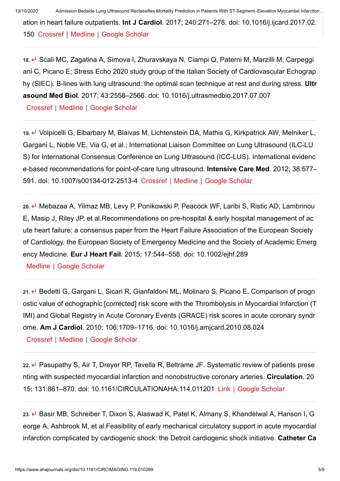13/10/2020 Admission Bedside Lung Ultrasound Reclassifies Mortality Prediction in Patients With ST-Segment–Elevation Myocardial Infarction…

ation in heart failure outpatients. Int J Cardiol. 2017; 240:271–278. doi: 10.1016/j.ijcard.2017.02. 150 [Crossref](https://www.ahajournals.org/servlet/linkout?suffix=e_1_3_4_18_2&dbid=16&doi=10.1161%2FCIRCIMAGING.119.010269&key=10.1016%2Fj.ijcard.2017.02.150) | [Medline](https://www.ahajournals.org/servlet/linkout?suffix=e_1_3_4_18_2&dbid=8&doi=10.1161%2FCIRCIMAGING.119.010269&key=28606680) | [Google Scholar](http://scholar.google.com/scholar_lookup?hl=en&volume=240&publication_year=2017&pages=271-278&journal=Int+J+Cardiol&author=MH+Miglioranza&author=E+Picano&author=LP+Badano&author=R+Sant%E2%80%99Anna&author=M+Rover&author=F+Zaffaroni&author=R+Sicari&author=RK+Kalil&author=TL+Leiria&author=L+Gargani&title=Pulmonary+congestion+evaluated+by+lung+ultrasound+predicts+decompensation+in+heart+failure+outpatients.)

18. Geali MC, Zagatina A, Simova I, Zhuravskaya N, Ciampi Q, Paterni M, Marzilli M, Carpeggi ani C, Picano E; Stress Echo 2020 study group of the Italian Society of Cardiovascular Echograp hy (SIEC). B-lines with lung ultrasound: the optimal scan technique at rest and during stress. Ultr asound Med Biol. 2017; 43:2558–2566. doi: 10.1016/j.ultrasmedbio.2017.07.007

[Crossref](https://www.ahajournals.org/servlet/linkout?suffix=e_1_3_4_19_2&dbid=16&doi=10.1161%2FCIRCIMAGING.119.010269&key=10.1016%2Fj.ultrasmedbio.2017.07.007) | [Medline](https://www.ahajournals.org/servlet/linkout?suffix=e_1_3_4_19_2&dbid=8&doi=10.1161%2FCIRCIMAGING.119.010269&key=28865726) | [Google Scholar](http://scholar.google.com/scholar_lookup?hl=en&volume=43&publication_year=2017&pages=2558-2566&journal=Ultrasound+Med+Biol&author=MC+Scali&author=A+Zagatina&author=I+Simova&author=N+Zhuravskaya&author=Q+Ciampi&author=M+Paterni&author=M+Marzilli&author=C+Carpeggiani&author=E+Picano&title=B-lines+with+lung+ultrasound%3A+the+optimal+scan+technique+at+rest+and+during+stress.)

19. Volpicelli G, Elbarbary M, Blaivas M, Lichtenstein DA, Mathis G, Kirkpatrick AW, Melniker L, Gargani L, Noble VE, Via G, et al.; International Liaison Committee on Lung Ultrasound (ILC-LU S) for International Consensus Conference on Lung Ultrasound (ICC-LUS). International evidenc e-based recommendations for point-of-care lung ultrasound. Intensive Care Med. 2012; 38:577– 591. doi: 10.1007/s00134-012-2513-4 [Crossref](https://www.ahajournals.org/servlet/linkout?suffix=e_1_3_4_20_2&dbid=16&doi=10.1161%2FCIRCIMAGING.119.010269&key=10.1007%2Fs00134-012-2513-4) | [Medline](https://www.ahajournals.org/servlet/linkout?suffix=e_1_3_4_20_2&dbid=8&doi=10.1161%2FCIRCIMAGING.119.010269&key=22392031) | [Google Scholar](http://scholar.google.com/scholar_lookup?hl=en&volume=38&publication_year=2012&pages=577-591&journal=Intensive+Care+Med&author=G+Volpicelli&author=M+Elbarbary&author=M+Blaivas&author=DA+Lichtenstein&author=G+Mathis&author=AW+Kirkpatrick&author=L+Melniker&author=L+Gargani&author=VE+Noble&author=G+Via&title=International+evidence-based+recommendations+for+point-of-care+lung+ultrasound.)

20. ← Mebazaa A, Yilmaz MB, Levy P, Ponikowski P, Peacock WF, Laribi S, Ristic AD, Lambrinou E, Masip J, Riley JP, et al.Recommendations on pre-hospital & early hospital management of ac ute heart failure: a consensus paper from the Heart Failure Association of the European Society of Cardiology, the European Society of Emergency Medicine and the Society of Academic Emerg ency Medicine. Eur J Heart Fail. 2015; 17:544–558. doi: 10.1002/ejhf.289

[Medline](https://www.ahajournals.org/servlet/linkout?suffix=e_1_3_4_21_2&dbid=8&doi=10.1161%2FCIRCIMAGING.119.010269&key=25999021) | [Google Scholar](http://scholar.google.com/scholar_lookup?hl=en&volume=17&publication_year=2015&pages=544-558&journal=Eur+J+Heart+Fail&author=A+Mebazaa&author=MB+Yilmaz&author=P+Levy&author=P+Ponikowski&author=WF+Peacock&author=S+Laribi&author=AD+Ristic&author=E+Lambrinou&author=J+Masip&author=JP+Riley&title=Recommendations+on+pre-hospital+%26+early+hospital+management+of+acute+heart+failure%3A+a+consensus+paper+from+the+Heart+Failure+Association+of+the+European+Society+of+Cardiology%2C+the+European+Society+of+Emergency+Medicine+and+the+Society+of+Academic+Emergency+Medicine.)

21. *D*edetti G, Gargani L, Sicari R, Gianfaldoni ML, Molinaro S, Picano E. Comparison of progn ostic value of echographic [corrected] risk score with the Thrombolysis in Myocardial Infarction (T IMI) and Global Registry in Acute Coronary Events (GRACE) risk scores in acute coronary syndr ome. Am J Cardiol. 2010; 106:1709–1716. doi: 10.1016/j.amjcard.2010.08.024

[Crossref](https://www.ahajournals.org/servlet/linkout?suffix=e_1_3_4_22_2&dbid=16&doi=10.1161%2FCIRCIMAGING.119.010269&key=10.1016%2Fj.amjcard.2010.08.024) | [Medline](https://www.ahajournals.org/servlet/linkout?suffix=e_1_3_4_22_2&dbid=8&doi=10.1161%2FCIRCIMAGING.119.010269&key=21126614) | [Google Scholar](http://scholar.google.com/scholar_lookup?hl=en&volume=106&publication_year=2010&pages=1709-1716&journal=Am+J+Cardiol&author=G+Bedetti&author=L+Gargani&author=R+Sicari&author=ML+Gianfaldoni&author=S+Molinaro&author=E+Picano&title=Comparison+of+prognostic+value+of+echographic+%5Bcorrected%5D+risk+score+with+the+Thrombolysis+in+Myocardial+Infarction+%28TIMI%29+and+Global+Registry+in+Acute+Coronary+Events+%28GRACE%29+risk+scores+in+acute+coronary+syndrome.)

22.  $\leftarrow$  Pasupathy S, Air T, Dreyer RP, Tavella R, Beltrame JF. Systematic review of patients prese nting with suspected myocardial infarction and nonobstructive coronary arteries. Circulation. 20 15; 131:861–870. doi: 10.1161/CIRCULATIONAHA.114.011201 [Link](https://www.ahajournals.org/doi/10.1161/circulationaha.114.011201) | [Google Scholar](http://scholar.google.com/scholar_lookup?hl=en&volume=131&publication_year=2015&pages=861-870&journal=Circulation&author=S+Pasupathy&author=T+Air&author=RP+Dreyer&author=R+Tavella&author=JF+Beltrame&title=Systematic+review+of+patients+presenting+with+suspected+myocardial+infarction+and+nonobstructive+coronary+arteries.)

23. E Basir MB, Schreiber T, Dixon S, Alaswad K, Patel K, Almany S, Khandelwal A, Hanson I, G eorge A, Ashbrook M, et al.Feasibility of early mechanical circulatory support in acute myocardial infarction complicated by cardiogenic shock: the Detroit cardiogenic shock initiative. Catheter Ca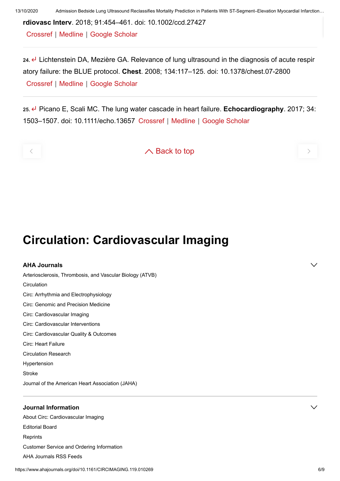rdiovasc Interv. 2018; 91:454–461. doi: 10.1002/ccd.27427

[Crossref](https://www.ahajournals.org/servlet/linkout?suffix=e_1_3_4_24_2&dbid=16&doi=10.1161%2FCIRCIMAGING.119.010269&key=10.1002%2Fccd.27427) | [Medline](https://www.ahajournals.org/servlet/linkout?suffix=e_1_3_4_24_2&dbid=8&doi=10.1161%2FCIRCIMAGING.119.010269&key=29266676) | [Google Scholar](http://scholar.google.com/scholar_lookup?hl=en&volume=91&publication_year=2018&pages=454-461&journal=Catheter+Cardiovasc+Interv&author=MB+Basir&author=T+Schreiber&author=S+Dixon&author=K+Alaswad&author=K+Patel&author=S+Almany&author=A+Khandelwal&author=I+Hanson&author=A+George&author=M+Ashbrook&title=Feasibility+of+early+mechanical+circulatory+support+in+acute+myocardial+infarction+complicated+by+cardiogenic+shock%3A+the+Detroit+cardiogenic+shock+initiative.)

 $24.$  Lichtenstein DA, Mezière GA. Relevance of lung ultrasound in the diagnosis of acute respir atory failure: the BLUE protocol. Chest. 2008; 134:117–125. doi: 10.1378/chest.07-2800 [Crossref](https://www.ahajournals.org/servlet/linkout?suffix=e_1_3_4_25_2&dbid=16&doi=10.1161%2FCIRCIMAGING.119.010269&key=10.1378%2Fchest.07-2800) | [Medline](https://www.ahajournals.org/servlet/linkout?suffix=e_1_3_4_25_2&dbid=8&doi=10.1161%2FCIRCIMAGING.119.010269&key=18403664) | [Google Scholar](http://scholar.google.com/scholar_lookup?hl=en&volume=134&publication_year=2008&pages=117-125&journal=Chest&author=DA+Lichtenstein&author=GA+Mezi%C3%A8re&title=Relevance+of+lung+ultrasound+in+the+diagnosis+of+acute+respiratory+failure%3A+the+BLUE+protocol.)

25. e Picano E, Scali MC. The lung water cascade in heart failure. Echocardiography. 2017; 34: 1503–1507. doi: 10.1111/echo.13657 [Crossref](https://www.ahajournals.org/servlet/linkout?suffix=e_1_3_4_26_2&dbid=16&doi=10.1161%2FCIRCIMAGING.119.010269&key=10.1111%2Fecho.13657) | [Medline](https://www.ahajournals.org/servlet/linkout?suffix=e_1_3_4_26_2&dbid=8&doi=10.1161%2FCIRCIMAGING.119.010269&key=28849591) | [Google Scholar](http://scholar.google.com/scholar_lookup?hl=en&volume=34&publication_year=2017&pages=1503-1507&journal=Echocardiography&author=E+Picano&author=MC+Scali&title=The+lung+water+cascade+in+heart+failure.)



 $\left\langle \begin{array}{ccc} \mathbf{0} & \mathbf{0} & \mathbf{0} & \mathbf{0} & \mathbf{0} \end{array} \right\rangle$ 

Circulation: Cardiovascular Imaging

#### AHA Journals

[Arteriosclerosis, Thrombosis, and Vascular Biology \(ATVB\)](https://www.ahajournals.org/journal/atvb) **[Circulation](https://www.ahajournals.org/journal/circ)** [Circ: Arrhythmia and Electrophysiology](https://www.ahajournals.org/journal/circep) [Circ: Genomic and Precision Medicine](https://www.ahajournals.org/journal/circgen) [Circ: Cardiovascular Imaging](https://www.ahajournals.org/journal/circimaging) [Circ: Cardiovascular Interventions](https://www.ahajournals.org/journal/circinterventions) [Circ: Cardiovascular Quality & Outcomes](https://www.ahajournals.org/journal/circoutcomes) [Circ: Heart Failure](https://www.ahajournals.org/journal/circheartfailure) [Circulation Research](https://www.ahajournals.org/journal/res) [Hypertension](https://www.ahajournals.org/journal/hyp) [Stroke](https://www.ahajournals.org/journal/str) [Journal of the American Heart Association \(JAHA\)](https://www.ahajournals.org/journal/jaha)

#### Journal Information

[About Circ: Cardiovascular Imaging](https://www.ahajournals.org/circimaging/about) [Editorial Board](https://www.ahajournals.org/circimaging/editorial-board) **[Reprints](https://www.ahajournals.org/commercial-reprints)** [Customer Service and Ordering Information](https://www.ahajournals.org/custserv) [AHA Journals RSS Feeds](https://www.ahajournals.org/feeds.jsp)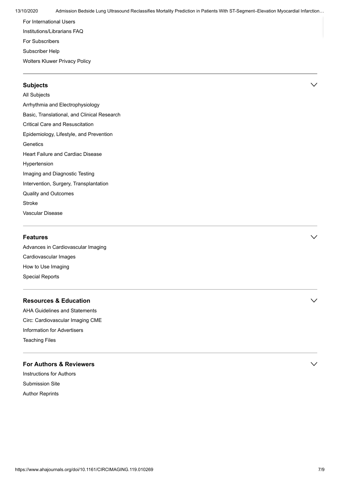[For International Users](https://www.ahajournals.org/international-users) [Institutions/Librarians FAQ](https://www.ahajournals.org/custserv/institutionalFAQ) [For Subscribers](https://www.ahajournals.org/custserv/subscribe) [Subscriber Help](https://www.ahajournals.org/custserv/help) [Wolters Kluwer Privacy Policy](https://journals.lww.com/_layouts/15/oaks.journals/privacy.aspx)

#### Subjects  $\vee$

[All Subjects](https://www.ahajournals.org/allSubjects) [Arrhythmia and Electrophysiology](https://www.ahajournals.org/browse/circimaging?taxonomyUri=hwp-journal-coll&tagUri=arel) [Basic, Translational, and Clinical Research](https://www.ahajournals.org/browse/circimaging?taxonomyUri=hwp-journal-coll&tagUri=btcr) [Critical Care and Resuscitation](https://www.ahajournals.org/browse/circimaging?taxonomyUri=hwp-journal-coll&tagUri=ccr) [Epidemiology, Lifestyle, and Prevention](https://www.ahajournals.org/browse/circimaging?taxonomyUri=hwp-journal-coll&tagUri=elp) **[Genetics](https://www.ahajournals.org/browse/circimaging?taxonomyUri=hwp-journal-coll&tagUri=gen)** [Heart Failure and Cardiac Disease](https://www.ahajournals.org/browse/circimaging?taxonomyUri=hwp-journal-coll&tagUri=hfcd) [Hypertension](https://www.ahajournals.org/browse/circimaging?taxonomyUri=hwp-journal-coll&tagUri=hyp) [Imaging and Diagnostic Testing](https://www.ahajournals.org/browse/circimaging?taxonomyUri=hwp-journal-coll&tagUri=idt) [Intervention, Surgery, Transplantation](https://www.ahajournals.org/browse/circimaging?taxonomyUri=hwp-journal-coll&tagUri=ist) [Quality and Outcomes](https://www.ahajournals.org/browse/circimaging?taxonomyUri=hwp-journal-coll&tagUri=qo) [Stroke](https://www.ahajournals.org/browse/circimaging?taxonomyUri=hwp-journal-coll&tagUri=str) [Vascular Disease](https://www.ahajournals.org/browse/circimaging?taxonomyUri=hwp-journal-coll&tagUri=vasc)

#### Features that is a set of the contract of  $\sim$

[Advances in Cardiovascular Imaging](https://www.ahajournals.org/browse/circimaging?taxonomyUri=features-menus&tagUri=circimaging-advances) [Cardiovascular Images](https://www.ahajournals.org/browse/circimaging?taxonomyUri=features-menus&tagUri=circimaging-cv-images) [How to Use Imaging](https://www.ahajournals.org/browse/circimaging?taxonomyUri=features-menus&tagUri=circimaging-how-to-use) [Special Reports](https://www.ahajournals.org/browse/circimaging?taxonomyUri=features-menus&tagUri=circimaging-special-reports)

#### Resources & Education  $\vee$

[AHA Guidelines and Statements](https://professional.heart.org/en/guidelines-and-statements) [Circ: Cardiovascular Imaging CME](https://www.ahajournals.org/journal/circimaging/cme) [Information for Advertisers](http://advertising.lww.com/media-kits/circulation-cardiovascular-imaging.html) [Teaching Files](https://www.ahajournals.org/circimaging/teaching-files)

#### For Authors & Reviewers  $\vee$

[Instructions for Authors](https://www.ahajournals.org/circimaging/author-instructions) [Submission Site](https://circimaging-submit.aha-journals.org/) [Author Reprints](https://www.ahajournals.org/author-reprints)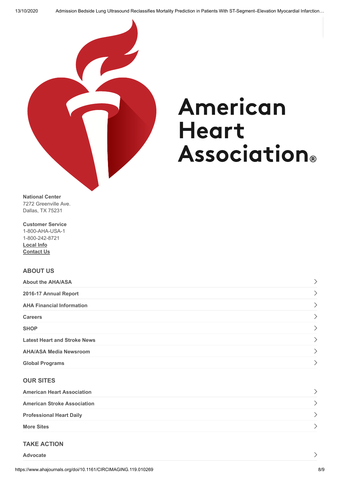

# American **Heart Association**®

National Center 7272 Greenville Ave. Dallas, TX 75231

Customer Service 1-800-AHA-USA-1 1-800-242-8721 [Local Info](http://www.heart.org/HEARTORG/localization/chooseState.jsp) [Contact Us](http://www.heart.org/HEARTORG/General/Contact-Us_UCM_308813_Article.jsp#.V0iRafkrJpg)

#### ABOUT US

| <b>About the AHA/ASA</b>            |  |
|-------------------------------------|--|
| 2016-17 Annual Report               |  |
| <b>AHA Financial Information</b>    |  |
| <b>Careers</b>                      |  |
| <b>SHOP</b>                         |  |
| <b>Latest Heart and Stroke News</b> |  |
| <b>AHA/ASA Media Newsroom</b>       |  |
| <b>Global Programs</b>              |  |

#### OUR SITES

| <b>American Heart Association</b>  |  |
|------------------------------------|--|
| <b>American Stroke Association</b> |  |
| <b>Professional Heart Daily</b>    |  |
| <b>More Sites</b>                  |  |

#### TAKE ACTION

[Advocate](http://www.yourethecure.org/)

https://www.ahajournals.org/doi/10.1161/CIRCIMAGING.119.010269 8/9